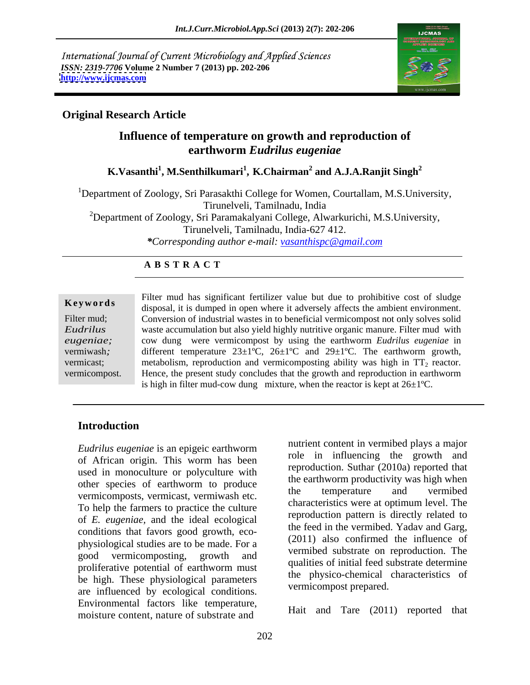International Journal of Current Microbiology and Applied Sciences *ISSN: 2319-7706* **Volume 2 Number 7 (2013) pp. 202-206 <http://www.ijcmas.com>**



### **Original Research Article**

# **Influence of temperature on growth and reproduction of earthworm** *Eudrilus eugeniae*

 $\boldsymbol{\mathrm{K}}.\boldsymbol{\mathrm{V}}$ asanthi $^1$ , **M.Senthilkumari** $^1$ **, K.Chairman** $^2$  **and A.J.A.Ranjit Singh** $^2$ **and A.J.A.Ranjit Singh<sup>2</sup>**

<sup>1</sup>Department of Zoology, Sri Parasakthi College for Women, Courtallam, M.S.University, Tirunelveli, Tamilnadu, India <sup>2</sup>Department of Zoology, Sri Paramakalyani College, Alwarkurichi, M.S.University,

Tirunelveli, Tamilnadu, India-627 412.

*\*Corresponding author e-mail: vasanthispc@gmail.com*

### **A B S T R A C T**

**Keywords** disposal, it is dumped in open where it adversely affects the ambient environment. Filter mud; Conversion of industrial wastes in to beneficial vermicompost not only solves solid *Eudrilus*  waste accumulation but also yield highly nutritive organic manure. Filter mud with *eugeniae;* cow dung were vermicompost by using the earthworm *Eudrilus eugeniae* in vermiwash; different temperature  $23\pm1^{\circ}C$ ,  $26\pm1^{\circ}C$  and  $29\pm1^{\circ}C$ . The earthworm growth, vermicast; metabolism, reproduction and vermicomposting ability was high in  $TT_2$  reactor. vermicompost. Hence, the present study concludes that the growth and reproduction in earthworm Filter mud has significant fertilizer value but due to prohibitive cost of sludge is high in filter mud-cow dung mixture, when the reactor is kept at  $26 \pm 1^{\circ}$ C.

## **Introduction**

*Eudrilus eugeniae* is an epigeic earthworm of African origin. This worm has been used in monoculture or polyculture with other species of earthworm to produce<br>the temperature and vermibed vermicomposts, vermicast, vermiwash etc. To help the farmers to practice the culture of *E. eugeniae,* and the ideal ecological conditions that favors good growth, eco physiological studies are to be made. For a good vermicomposting, growth and proliferative potential of earthworm must be high. These physiological parameters are influenced by ecological conditions. Environmental factors like temperature, moisture content, nature of substrate and

nutrient content in vermibed plays a major role in influencing the growth and reproduction. Suthar (2010a) reported that the earthworm productivity was high when the temperature and vermibed characteristics were at optimum level. The reproduction pattern is directly related to the feed in the vermibed. Yadav and Garg, (2011) also confirmed the influence of vermibed substrate on reproduction. The qualities of initial feed substrate determine the physico-chemical characteristics of vermicompost prepared.

Hait and Tare (2011) reported that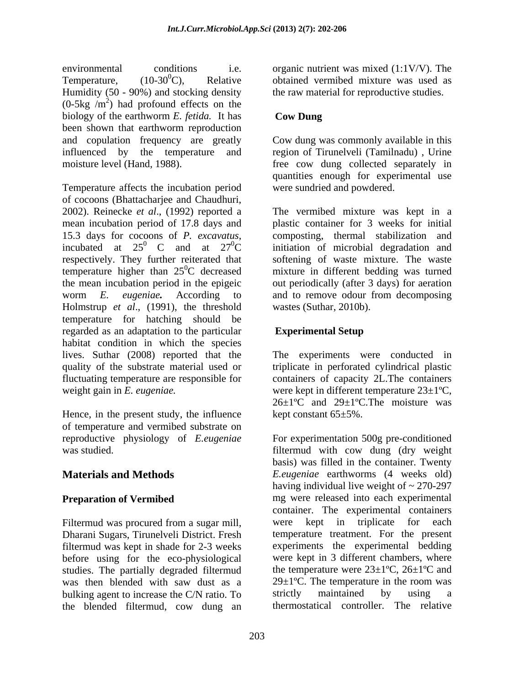environmental conditions i.e. organic nutrient was mixed (1:1V/V). The Temperature,  $(10-30^0C)$ , Relative obtained vermibed mixture was used as Humidity (50 - 90%) and stocking density  $(0.5 \text{kg } / \text{m}^2)$  had profound effects on the biology of the earthworm *E. fetida.* It has been shown that earthworm reproduction and copulation frequency are greatly Cow dung was commonly available in this influenced by the temperature and region of Tirunelveli (Tamilnadu) , Urine

Temperature affects the incubation period of cocoons (Bhattacharjee and Chaudhuri, 2002). Reinecke *et al*., (1992) reported a The vermibed mixture was kept in a mean incubation period of 17.8 days and plastic container for 3 weeks for initial 15.3 days for cocoons of *P. excavatus*, incubated at  $25^0$  C and at  $27^0$ C respectively. They further reiterated that softening of waste mixture. The waste temperature higher than  $25^{\circ}$ C decreased the mean incubation period in the epigeic out periodically (after 3 days) for aeration worm *E. eugeniae.* According to and to remove odour from decomposing Holmstrup *et al*., (1991), the threshold temperature for hatching should be regarded as an adaptation to the particular **Experimental Setup** habitat condition in which the species lives. Suthar (2008) reported that the The experiments were conducted in quality of the substrate material used or triplicate in perforated cylindrical plastic fluctuating temperature are responsible for containers of capacity 2L.The containers weight gain in *E. eugeniae*. **were kept in different temperature 23**±1°C,

Hence, in the present study, the influence of temperature and vermibed substrate on<br>reproductive physiology of *E.eugeniae* 

Filtermud was procured from a sugar mill, Dharani Sugars, Tirunelveli District. Fresh filtermud was kept in shade for 2-3 weeks before using for the eco-physiological studies. The partially degraded filtermud<br>was then blended with saw dust as a  $29\pm1^{\circ}$ C. The temperature in the room was bulking agent to increase the C/N ratio. To strictly maintained by using a the blended filtermud, cow dung an

the raw material for reproductive studies.

### **Cow Dung**

moisture level (Hand, 1988). free cow dung collected separately in quantities enough for experimental use were sundried and powdered.

 $^{0}$  C and at  $27^{0}$ C initiation of microbial degradation and <sup>0</sup>C decreased mixture in different bedding was turned composting, thermal stabilization and wastes (Suthar, 2010b).

# **Experimental Setup**

26±1ºC and 29±1ºC.The moisture was kept constant 65±5%.

reproductive physiology of *E.eugeniae*  For experimentation 500g pre-conditioned was studied. filtermud with cow dung (dry weight **Materials and Methods** *E.eugeniae* earthworms (4 weeks old) **Preparation of Vermibed mg** were released into each experimental was then blended with saw dust as a  $29\pm1$ °C. The temperature in the room was basis) was filled in the container. Twenty having individual live weight of  $\sim$  270-297 container. The experimental containers were kept in triplicate for each temperature treatment. For the present experiments the experimental bedding were kept in 3 different chambers, where the temperature were  $23\pm1^{\circ}C$ ,  $26\pm1^{\circ}C$  and  $29\pm1$ <sup>o</sup>C. The temperature in the room was strictly maintained by using a thermostatical controller. The relative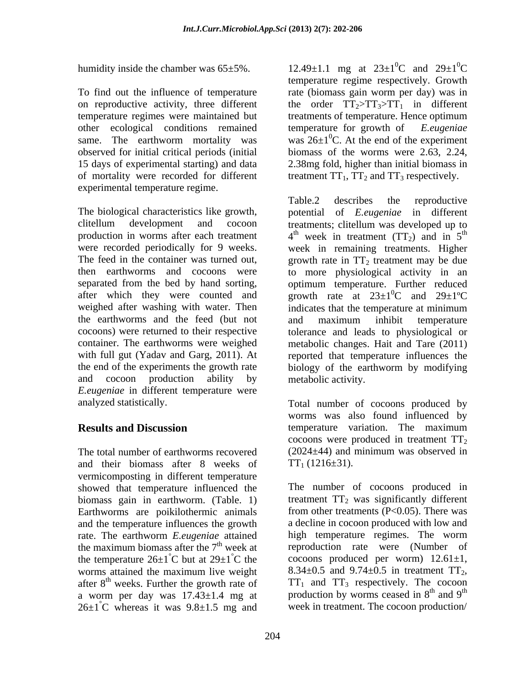humidity inside the chamber was 65±5%.

To find out the influence of temperature rate (biomass gain worm per day) was in other ecological conditions remained temperature for growth of Eeugeniae observed for initial critical periods (initial of mortality were recorded for different experimental temperature regime.

The biological characteristics like growth, potential of *E.eugeniae* in different weighed after washing with water. Then indicates that the temperature at minimum the earthworms and the feed (but not and cocoon production ability by *E.eugeniae* in different temperature were

and their biomass after 8 weeks of vermicomposting in different temperature showed that temperature influenced the biomass gain in earthworm. (Table. 1) Earthworms are poikilothermic animals and the temperature influences the growth rate. The earthworm *E.eugeniae* attained the temperature  $26\pm1^{\circ}$ C but at  $29\pm1^{\circ}$ C the cocoons produced per worm)  $12.61\pm1$ ,<br>worms attained the maximum live weight  $8.34\pm0.5$  and  $9.74\pm0.5$  in treatment TT<sub>2</sub>, after 8<sup>th</sup> weeks. Further the growth rate of a worm per day was  $17.43 \pm 1.4$  mg at  $26\pm1^{\circ}$ C whereas it was  $9.8\pm1.5$  mg and week in treatment. The cocoon production/

on reproductive activity, three different the order  $TT_2 > TT_3 > TT_1$  in different temperature regimes were maintained but treatments of temperature. Hence optimum same. The earthworm mortality was was  $26\pm1\textsuperscript{0}$ . At the end of the experiment 15 days of experimental starting) and data 2.38mg fold, higher than initial biomass in 12.49±1.1 mg at  $23\pm10^{\circ}$  and  $29\pm10^{\circ}$  ${}^{0}C$  and  $29\pm1{}^{0}C$  ${}^{0}C$ temperature regime respectively. Growth rate (biomass gain worm per day) was in temperature for growth of biomass of the worms were 2.63, 2.24, treatment  $TT_1$ ,  $TT_2$  and  $TT_3$  respectively.

clitellum development and cocoon treatments; clitellum was developed up to production in worms after each treatment  $4<sup>th</sup>$  week in treatment (TT<sub>2</sub>) and in  $5<sup>th</sup>$ were recorded periodically for 9 weeks. week in remaining treatments. Higher The feed in the container was turned out, growth rate in  $TT_2$  treatment may be due then earthworms and cocoons were to more physiological activity in an separated from the bed by hand sorting, optimum temperature. Further reduced after which they were counted and growth rate at  $23\pm1\textsuperscript{0}C$  and  $29\pm1\textsuperscript{0}C$ cocoons) were returned to their respective tolerance and leads to physiological or container. The earthworms were weighed metabolic changes. Hait and Tare (2011) with full gut (Yadav and Garg*,* 2011). At reported that temperature influences the the end of the experiments the growth rate biology of the earthworm by modifying Table.2 describes the reproductive potential of *E.eugeniae* th  ${}^{0}C$  and  $29\pm1{}^{0}C$ indicates that the temperature at minimum and maximum inhibit temperature metabolic activity.

analyzed statistically. Total number of cocoons produced by **Results and Discussion** *CON* **EXECUTE: EXECUTE: EXECUTE: CON EXECUTE: CON CON CON CON CON CON CON CON CON CON CON CON CON CON CON CON CON CON CON CON CON CON CON** The total number of earthworms recovered (2024±44) and minimum was observed in worms was also found influenced by temperature variation. The maximum cocoons were produced in treatment  $TT<sub>2</sub>$  $TT_1$  (1216 $\pm$ 31).

the maximum biomass after the  $7<sup>th</sup>$  week at reproduction rate were (Number of  $^{\circ}$ C but at 29 $\pm 1^{\circ}$ C the cocoons produced per worm) 12.61 $\pm$ 1, worms attained the maximum live weight  $8.34 \pm 0.5$  and  $9.74 \pm 0.5$  in treatment  $TT_2$ , <sup>th</sup> weeks. Further the growth rate of  $TT_1$  and  $TT_3$  respectively. The cocoon The number of cocoons produced in treatment  $TT_2$  was significantly different from other treatments (P<0.05). There was a decline in cocoon produced with low and high temperature regimes. The worm  $8.34\pm0.5$  and  $9.74\pm0.5$  in treatment  $TT_2$ ,  $TT_1$  and  $TT_3$  respectively. The cocoon production by worms ceased in 8<sup>th</sup> and 9<sup>th</sup>  $th$  and  $\Omega$ <sup>th</sup> and  $9^{\text{th}}$ the contract of the contract of the contract of the contract of the contract of the contract of the contract of the contract of the contract of the contract of the contract of the contract of the contract of the contract o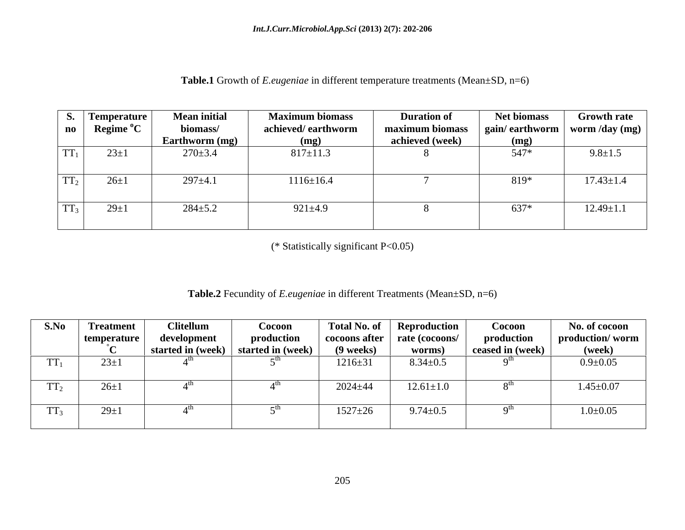| Table.1<br>$\cdots$<br><b>nn</b><br>$\sqrt{N}$<br>n different temperatur<br>orowth o <sup>+</sup><br>e treatments<br>$\ldots$ eugeniae $\cdots$<br>$\rightarrow$ לו $\rightarrow$ D, n=n<br>$.49n+$<br>www. |  |
|-------------------------------------------------------------------------------------------------------------------------------------------------------------------------------------------------------------|--|
|                                                                                                                                                                                                             |  |

| <b>S.</b><br>$\mathbf{n}\mathbf{o}$ | $\vert$ Temperature $\vert$<br>Regime <sup>o</sup> C | <b>Mean initial</b><br>biomass/<br><b>Earthworm</b> (mg) | <b>Maximum biomass</b><br>achieved/earthworm<br>(mg) | <b>Duration of</b><br>maximum biomass<br>achieved (week) | <b>Net biomass</b><br>  gain/ earthworm  <br>(mg) | <b>Growth rate</b><br>worm /day $(mg)$ |
|-------------------------------------|------------------------------------------------------|----------------------------------------------------------|------------------------------------------------------|----------------------------------------------------------|---------------------------------------------------|----------------------------------------|
| $TT_1$                              | $23 \pm 1$                                           | $270 \pm 3.4$                                            | $817 \pm 11.3$                                       |                                                          | 547*                                              | $9.8 \pm 1.5$                          |
| $TT_2$                              | $26 \pm 1$                                           | $297 \pm 4.1$                                            | $1116 \pm 16.4$                                      |                                                          | 819*                                              | $17.43 \pm 1.4$                        |
| $TT_3$                              | $29 \pm 1$                                           | $284 \pm 5.2$                                            | $921 \pm 4.9$                                        |                                                          | 637*                                              | $12.49 \pm 1.1$                        |

(\* Statistically significant P<0.05)

# **Table.2** Fecundity of *E.eugeniae* in different Treatments (Mean±SD, n=6)

| S.No                                    | <b>Treatment</b> | <b>Clitellum</b>                                    | <b>Cocoon</b> |               | Total No. of Reproduction      | Cocoon                           | No. of cocoon   |
|-----------------------------------------|------------------|-----------------------------------------------------|---------------|---------------|--------------------------------|----------------------------------|-----------------|
|                                         | temperature      | development                                         | production    |               | cocoons after   rate (cocoons/ | production                       | production/worm |
|                                         |                  | $\vert$ started in (week) $\vert$ started in (week) |               | $(9$ weeks)   | worms)                         | $\vert$ ceased in (week) $\vert$ | (week)          |
| THT.                                    | $23+1$<br>$2J+1$ |                                                     |               | $1216 \pm 31$ | $8.34 \pm 0.5$                 | $\alpha$ ui                      | $0.9 \pm 0.05$  |
|                                         |                  |                                                     |               |               |                                |                                  |                 |
| <b>THE</b><br>$\mathbf{1}$ $\mathbf{1}$ | $26 \pm 1$       |                                                     |               | $2024 \pm 44$ | $12.61 \pm 1.0$                |                                  | $1.45 \pm 0.07$ |
|                                         |                  |                                                     |               |               |                                |                                  |                 |
| $TT_3$                                  | $29 \pm 1$       |                                                     |               | $1527 \pm 26$ | $9.74 \pm 0.5$                 |                                  | $1.0 \pm 0.05$  |
|                                         |                  |                                                     |               |               |                                |                                  |                 |